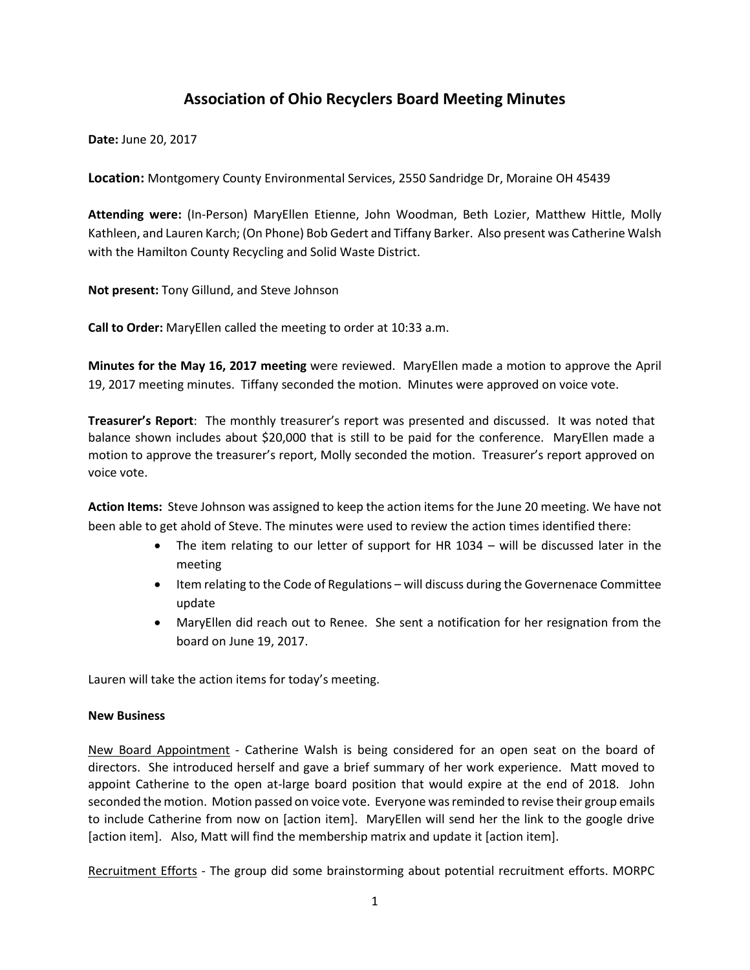## **Association of Ohio Recyclers Board Meeting Minutes**

**Date:** June 20, 2017

**Location:** Montgomery County Environmental Services, 2550 Sandridge Dr, Moraine OH 45439

**Attending were:** (In-Person) MaryEllen Etienne, John Woodman, Beth Lozier, Matthew Hittle, Molly Kathleen, and Lauren Karch; (On Phone) Bob Gedert and Tiffany Barker. Also present was Catherine Walsh with the Hamilton County Recycling and Solid Waste District.

**Not present:** Tony Gillund, and Steve Johnson

**Call to Order:** MaryEllen called the meeting to order at 10:33 a.m.

**Minutes for the May 16, 2017 meeting** were reviewed. MaryEllen made a motion to approve the April 19, 2017 meeting minutes. Tiffany seconded the motion. Minutes were approved on voice vote.

**Treasurer's Report**: The monthly treasurer's report was presented and discussed. It was noted that balance shown includes about \$20,000 that is still to be paid for the conference. MaryEllen made a motion to approve the treasurer's report, Molly seconded the motion. Treasurer's report approved on voice vote.

**Action Items:** Steve Johnson was assigned to keep the action items for the June 20 meeting. We have not been able to get ahold of Steve. The minutes were used to review the action times identified there:

- The item relating to our letter of support for HR 1034 will be discussed later in the meeting
- Item relating to the Code of Regulations will discuss during the Governenace Committee update
- MaryEllen did reach out to Renee. She sent a notification for her resignation from the board on June 19, 2017.

Lauren will take the action items for today's meeting.

## **New Business**

New Board Appointment - Catherine Walsh is being considered for an open seat on the board of directors. She introduced herself and gave a brief summary of her work experience. Matt moved to appoint Catherine to the open at-large board position that would expire at the end of 2018. John seconded the motion. Motion passed on voice vote. Everyone was reminded to revise their group emails to include Catherine from now on [action item]. MaryEllen will send her the link to the google drive [action item]. Also, Matt will find the membership matrix and update it [action item].

Recruitment Efforts - The group did some brainstorming about potential recruitment efforts. MORPC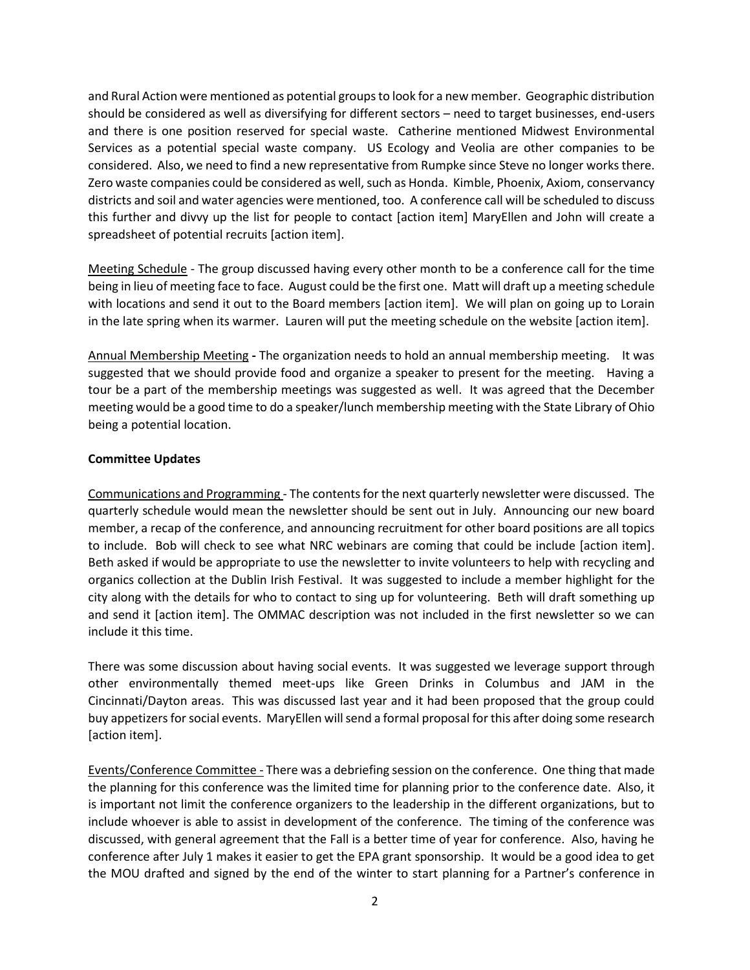and Rural Action were mentioned as potential groups to look for a new member. Geographic distribution should be considered as well as diversifying for different sectors – need to target businesses, end-users and there is one position reserved for special waste. Catherine mentioned Midwest Environmental Services as a potential special waste company. US Ecology and Veolia are other companies to be considered. Also, we need to find a new representative from Rumpke since Steve no longer works there. Zero waste companies could be considered as well, such as Honda. Kimble, Phoenix, Axiom, conservancy districts and soil and water agencies were mentioned, too. A conference call will be scheduled to discuss this further and divvy up the list for people to contact [action item] MaryEllen and John will create a spreadsheet of potential recruits [action item].

Meeting Schedule - The group discussed having every other month to be a conference call for the time being in lieu of meeting face to face. August could be the first one. Matt will draft up a meeting schedule with locations and send it out to the Board members [action item]. We will plan on going up to Lorain in the late spring when its warmer. Lauren will put the meeting schedule on the website [action item].

Annual Membership Meeting **-** The organization needs to hold an annual membership meeting. It was suggested that we should provide food and organize a speaker to present for the meeting. Having a tour be a part of the membership meetings was suggested as well. It was agreed that the December meeting would be a good time to do a speaker/lunch membership meeting with the State Library of Ohio being a potential location.

## **Committee Updates**

Communications and Programming - The contents for the next quarterly newsletter were discussed. The quarterly schedule would mean the newsletter should be sent out in July. Announcing our new board member, a recap of the conference, and announcing recruitment for other board positions are all topics to include. Bob will check to see what NRC webinars are coming that could be include [action item]. Beth asked if would be appropriate to use the newsletter to invite volunteers to help with recycling and organics collection at the Dublin Irish Festival. It was suggested to include a member highlight for the city along with the details for who to contact to sing up for volunteering. Beth will draft something up and send it [action item]. The OMMAC description was not included in the first newsletter so we can include it this time.

There was some discussion about having social events. It was suggested we leverage support through other environmentally themed meet-ups like Green Drinks in Columbus and JAM in the Cincinnati/Dayton areas. This was discussed last year and it had been proposed that the group could buy appetizers for social events. MaryEllen will send a formal proposal for this after doing some research [action item].

Events/Conference Committee - There was a debriefing session on the conference. One thing that made the planning for this conference was the limited time for planning prior to the conference date. Also, it is important not limit the conference organizers to the leadership in the different organizations, but to include whoever is able to assist in development of the conference. The timing of the conference was discussed, with general agreement that the Fall is a better time of year for conference. Also, having he conference after July 1 makes it easier to get the EPA grant sponsorship. It would be a good idea to get the MOU drafted and signed by the end of the winter to start planning for a Partner's conference in